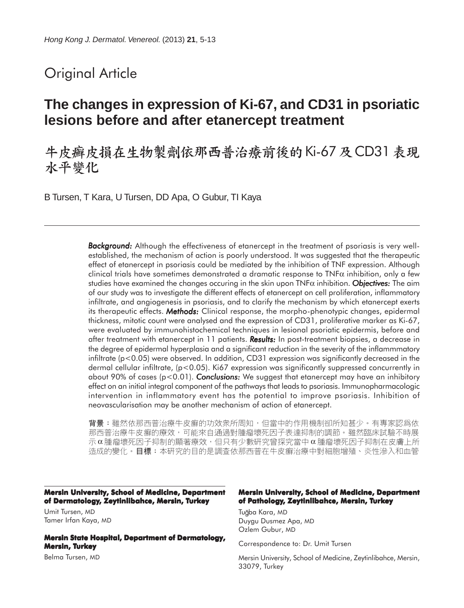# Original Article

# **The changes in expression of Ki-67, and CD31 in psoriatic lesions before and after etanercept treatment**

# 牛皮癣皮損在生物製劑依那西普治療前後的 Ki-67 及 CD31 表現 水平變化

B Tursen, T Kara, U Tursen, DD Apa, O Gubur, TI Kaya

*Background: Background:* Although the effectiveness of etanercept in the treatment of psoriasis is very wellestablished, the mechanism of action is poorly understood. It was suggested that the therapeutic effect of etanercept in psoriasis could be mediated by the inhibition of TNF expression. Although clinical trials have sometimes demonstrated a dramatic response to TNF $\alpha$  inhibition, only a few studies have examined the changes occuring in the skin upon  $\text{TNF}\alpha$  inhibition. **Objectives:** The aim of our study was to investigate the different effects of etanercept on cell proliferation, inflammatory infiltrate, and angiogenesis in psoriasis, and to clarify the mechanism by which etanercept exerts its therapeutic effects. *Methods: Methods:* Clinical response, the morpho-phenotypic changes, epidermal thickness, mitotic count were analysed and the expression of CD31, proliferative marker as Ki-67, were evaluated by immunohistochemical techniques in lesional psoriatic epidermis, before and after treatment with etanercept in 11 patients. **Results:** In post-treatment biopsies, a decrease in the degree of epidermal hyperplasia and a significant reduction in the severity of the inflammmatory infiltrate (p<0.05) were observed. In addition, CD31 expression was significantly decreased in the dermal cellular infiltrate, (p<0.05). Ki67 expression was significantly suppressed concurrently in about 90% of cases (p<0.01). *Conclusions: Conclusions:* We suggest that etanercept may have an inhibitory effect on an initial integral component of the pathways that leads to psoriasis. Immunopharmacologic intervention in inflammatory event has the potential to improve psoriasis. Inhibition of neovascularisation may be another mechanism of action of etanercept.

背景:雖然依那西普治療牛皮癬的功效衆所周知,但當中的作用機制卻所知甚少。有專家認爲依 那西普治療牛皮癬的療效,可能來自通過對腫瘤壞死因子表達抑制的調節。雖然臨床試驗不時展 示α腫瘤壞死因子抑制的顯著療效,但只有少數研究曾探究當中α腫瘤壞死因子抑制在皮膚上所 造成的變化。目標:本研究的目的是調查依那西普在牛皮癬治療中對細胞增殖、炎性滲入和血管

**Mersin University, School of Medicine, Department of Dermatology, Zeytinlibahce, Mersin, Turkey**

Umit Tursen, MD Tamer Irfan Kaya, MD

**Mersin State Hospital, Department of Dermatology, Mersin, Turkey**

Belma Tursen, MD

#### **Mersin University, School of Medicine, Department of Pathology, Zeytinlibahce, Mersin, Turkey**

Tuğba Kara, MD Duygu Dusmez Apa, MD Ozlem Gubur, MD

Correspondence to: Dr. Umit Tursen

Mersin University, School of Medicine, Zeytinlibahce, Mersin, 33079, Turkey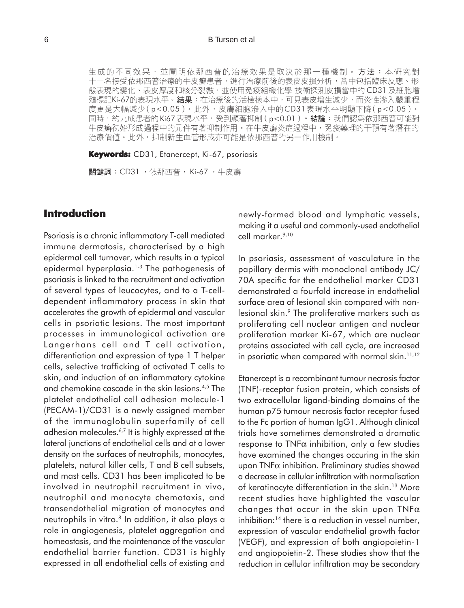#### 6 B Tursen et al

生成的不同效果,並闡明依那西普的治療效果是取決於那一種機制。方法:本研究對 十一名接受依那西普治療的牛皮癬患者,進行治療前後的表皮皮損分析,當中包括臨床反應、形 態表現的變化、表皮厚度和核分裂數,並使用免疫組織化學 技術探測皮損當中的 CD31 及細胞增 殖標記Ki-67的表現水平。結果:在治療後的活檢樣本中,可見表皮增生減少,而炎性滲入嚴重程 度更是大幅減少(p<0.05)。此外,皮膚細胞滲入中的CD31表現水平明顯下降(p<0.05)。 同時,約九成患者的Ki67表現水平,受到顯著抑制(p<0.01)。結論:我們認為依那西普可能對 牛皮癬初始形成過程中的元件有著抑制作用。在牛皮癬炎症過程中,免疫藥理的干預有著潛在的 治療價值。此外,抑制新生血管形成亦可能是依那西普的另一作用機制。

**Keywords:** CD31, Etanercept, Ki-67, psoriasis

關鍵詞: CD31, 依那西普, Ki-67, 牛皮癬

## **Introduction**

Psoriasis is a chronic inflammatory T-cell mediated immune dermatosis, characterised by a high epidermal cell turnover, which results in a typical epidermal hyperplasia.<sup>1-3</sup> The pathogenesis of psoriasis is linked to the recruitment and activation of several types of leucocytes, and to a T-celldependent inflammatory process in skin that accelerates the growth of epidermal and vascular cells in psoriatic lesions. The most important processes in immunological activation are Langerhans cell and T cell activation, differentiation and expression of type 1 T helper cells, selective trafficking of activated T cells to skin, and induction of an inflammatory cytokine and chemokine cascade in the skin lesions.4,5 The platelet endothelial cell adhesion molecule-1 (PECAM-1)/CD31 is a newly assigned member of the immunoglobulin superfamily of cell adhesion molecules.6,7 It is highly expressed at the lateral junctions of endothelial cells and at a lower density on the surfaces of neutrophils, monocytes, platelets, natural killer cells, T and B cell subsets, and mast cells. CD31 has been implicated to be involved in neutrophil recruitment in vivo, neutrophil and monocyte chemotaxis, and transendothelial migration of monocytes and neutrophils in vitro.<sup>8</sup> In addition, it also plays a role in angiogenesis, platelet aggregation and homeostasis, and the maintenance of the vascular endothelial barrier function. CD31 is highly expressed in all endothelial cells of existing and newly-formed blood and lymphatic vessels, making it a useful and commonly-used endothelial cell marker.<sup>9,10</sup>

In psoriasis, assessment of vasculature in the papillary dermis with monoclonal antibody JC/ 70A specific for the endothelial marker CD31 demonstrated a fourfold increase in endothelial surface area of lesional skin compared with nonlesional skin.<sup>9</sup> The proliferative markers such as proliferating cell nuclear antigen and nuclear proliferation marker Ki-67, which are nuclear proteins associated with cell cycle, are increased in psoriatic when compared with normal skin.<sup>11,12</sup>

Etanercept is a recombinant tumour necrosis factor (TNF)-receptor fusion protein, which consists of two extracellular ligand-binding domains of the human p75 tumour necrosis factor receptor fused to the Fc portion of human IgG1. Although clinical trials have sometimes demonstrated a dramatic response to  $TNF\alpha$  inhibition, only a few studies have examined the changes occuring in the skin upon TNFα inhibition. Preliminary studies showed a decrease in cellular infiltration with normalisation of keratinocyte differentiation in the skin.<sup>13</sup> More recent studies have highlighted the vascular changes that occur in the skin upon  $TNF\alpha$ inhibition:<sup>14</sup> there is a reduction in vessel number, expression of vascular endothelial growth factor (VEGF), and expression of both angiopoietin-1 and angiopoietin-2. These studies show that the reduction in cellular infiltration may be secondary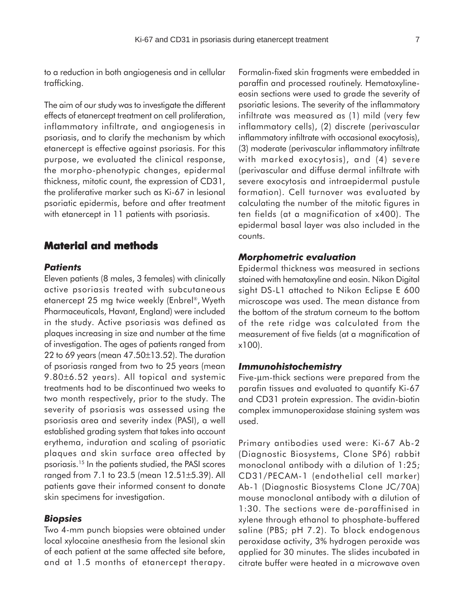to a reduction in both angiogenesis and in cellular trafficking.

The aim of our study was to investigate the different effects of etanercept treatment on cell proliferation, inflammatory infiltrate, and angiogenesis in psoriasis, and to clarify the mechanism by which etanercept is effective against psoriasis. For this purpose, we evaluated the clinical response, the morpho-phenotypic changes, epidermal thickness, mitotic count, the expression of CD31, the proliferative marker such as Ki-67 in lesional psoriatic epidermis, before and after treatment with etanercept in 11 patients with psoriasis.

## **Material and methods**

## *Patients*

Eleven patients (8 males, 3 females) with clinically active psoriasis treated with subcutaneous etanercept 25 mg twice weekly (Enbrel®, Wyeth Pharmaceuticals, Havant, England) were included in the study. Active psoriasis was defined as plaques increasing in size and number at the time of investigation. The ages of patients ranged from 22 to 69 years (mean  $47.50 \pm 13.52$ ). The duration of psoriasis ranged from two to 25 years (mean 9.80±6.52 years). All topical and systemic treatments had to be discontinued two weeks to two month respectively, prior to the study. The severity of psoriasis was assessed using the psoriasis area and severity index (PASI), a well established grading system that takes into account erythema, induration and scaling of psoriatic plaques and skin surface area affected by psoriasis.15 In the patients studied, the PASI scores ranged from 7.1 to 23.5 (mean 12.51±5.39). All patients gave their informed consent to donate skin specimens for investigation.

### *Biopsies*

Two 4-mm punch biopsies were obtained under local xylocaine anesthesia from the lesional skin of each patient at the same affected site before, and at 1.5 months of etanercept therapy.

Formalin-fixed skin fragments were embedded in paraffin and processed routinely. Hematoxylineeosin sections were used to grade the severity of psoriatic lesions. The severity of the inflammatory infiltrate was measured as (1) mild (very few inflammatory cells), (2) discrete (perivascular inflammatory infiltrate with occasional exocytosis), (3) moderate (perivascular inflammatory infiltrate with marked exocytosis), and (4) severe (perivascular and diffuse dermal infiltrate with severe exocytosis and intraepidermal pustule formation). Cell turnover was evaluated by calculating the number of the mitotic figures in ten fields (at a magnification of x400). The epidermal basal layer was also included in the counts.

#### *Morphometric evaluation*

Epidermal thickness was measured in sections stained with hematoxyline and eosin. Nikon Digital sight DS-L1 attached to Nikon Eclipse E 600 microscope was used. The mean distance from the bottom of the stratum corneum to the bottom of the rete ridge was calculated from the measurement of five fields (at a magnification of x100).

### *Immunohistochemistry*

Five-µm-thick sections were prepared from the parafin tissues and evaluated to quantify Ki-67 and CD31 protein expression. The avidin-biotin complex immunoperoxidase staining system was used.

Primary antibodies used were: Ki-67 Ab-2 (Diagnostic Biosystems, Clone SP6) rabbit monoclonal antibody with a dilution of 1:25; CD31/PECAM-1 (endothelial cell marker) Ab-1 (Diagnostic Biosystems Clone JC/70A) mouse monoclonal antibody with a dilution of 1:30. The sections were de-paraffinised in xylene through ethanol to phosphate-buffered saline (PBS; pH 7.2). To block endogenous peroxidase activity, 3% hydrogen peroxide was applied for 30 minutes. The slides incubated in citrate buffer were heated in a microwave oven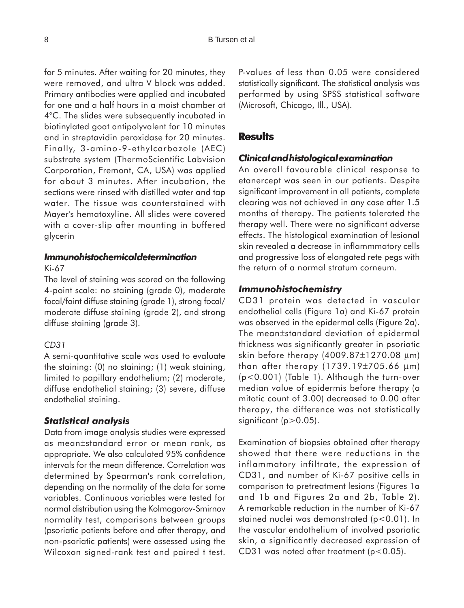for 5 minutes. After waiting for 20 minutes, they were removed, and ultra V block was added. Primary antibodies were applied and incubated for one and a half hours in a moist chamber at 4°C. The slides were subsequently incubated in biotinylated goat antipolyvalent for 10 minutes and in streptavidin peroxidase for 20 minutes. Finally, 3-amino-9-ethylcarbazole (AEC) substrate system (ThermoScientific Labvision Corporation, Fremont, CA, USA) was applied for about 3 minutes. After incubation, the sections were rinsed with distilled water and tap water. The tissue was counterstained with Mayer's hematoxyline. All slides were covered with a cover-slip after mounting in buffered glycerin

# *Immunohistochemical determination*

Ki-67

The level of staining was scored on the following 4-point scale: no staining (grade 0), moderate focal/faint diffuse staining (grade 1), strong focal/ moderate diffuse staining (grade 2), and strong diffuse staining (grade 3).

#### *CD31*

A semi-quantitative scale was used to evaluate the staining: (0) no staining; (1) weak staining, limited to papillary endothelium; (2) moderate, diffuse endothelial staining; (3) severe, diffuse endothelial staining.

#### *Statistical analysis*

Data from image analysis studies were expressed as mean±standard error or mean rank, as appropriate. We also calculated 95% confidence intervals for the mean difference. Correlation was determined by Spearman's rank correlation, depending on the normality of the data for some variables. Continuous variables were tested for normal distribution using the Kolmogorov-Smirnov normality test, comparisons between groups (psoriatic patients before and after therapy, and non-psoriatic patients) were assessed using the Wilcoxon signed-rank test and paired t test. P-values of less than 0.05 were considered statistically significant. The statistical analysis was performed by using SPSS statistical software (Microsoft, Chicago, Ill., USA).

## **Results**

### *Clinical and histological examination*

An overall favourable clinical response to etanercept was seen in our patients. Despite significant improvement in all patients, complete clearing was not achieved in any case after 1.5 months of therapy. The patients tolerated the therapy well. There were no significant adverse effects. The histological examination of lesional skin revealed a decrease in inflammmatory cells and progressive loss of elongated rete pegs with the return of a normal stratum corneum.

### *Immunohistochemistry*

CD31 protein was detected in vascular endothelial cells (Figure 1a) and Ki-67 protein was observed in the epidermal cells (Figure 2a). The mean±standard deviation of epidermal thickness was significantly greater in psoriatic skin before therapy (4009.87±1270.08 µm) than after therapy (1739.19±705.66 µm) (p<0.001) (Table 1). Although the turn-over median value of epidermis before therapy (a mitotic count of 3.00) decreased to 0.00 after therapy, the difference was not statistically significant  $(p>0.05)$ .

Examination of biopsies obtained after therapy showed that there were reductions in the inflammatory infiltrate, the expression of CD31, and number of Ki-67 positive cells in comparison to pretreatment lesions (Figures 1a and 1b and Figures 2a and 2b, Table 2). A remarkable reduction in the number of Ki-67 stained nuclei was demonstrated (p<0.01). In the vascular endothelium of involved psoriatic skin, a significantly decreased expression of CD31 was noted after treatment (p<0.05).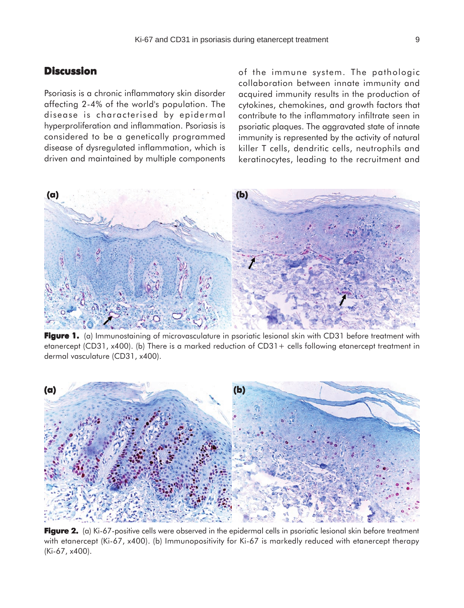## **Discussion**

Psoriasis is a chronic inflammatory skin disorder affecting 2-4% of the world's population. The disease is characterised by epidermal hyperproliferation and inflammation. Psoriasis is considered to be a genetically programmed disease of dysregulated inflammation, which is driven and maintained by multiple components of the immune system. The pathologic collaboration between innate immunity and acquired immunity results in the production of cytokines, chemokines, and growth factors that contribute to the inflammatory infiltrate seen in psoriatic plaques. The aggravated state of innate immunity is represented by the activity of natural killer T cells, dendritic cells, neutrophils and keratinocytes, leading to the recruitment and



**Figure 1.** (a) Immunostaining of microvasculature in psoriatic lesional skin with CD31 before treatment with etanercept (CD31, x400). (b) There is a marked reduction of CD31+ cells following etanercept treatment in dermal vasculature (CD31, x400).



**Figure 2. Figure 2.** (a) Ki-67-positive cells were observed in the epidermal cells in psoriatic lesional skin before treatment with etanercept (Ki-67, x400). (b) Immunopositivity for Ki-67 is markedly reduced with etanercept therapy (Ki-67, x400).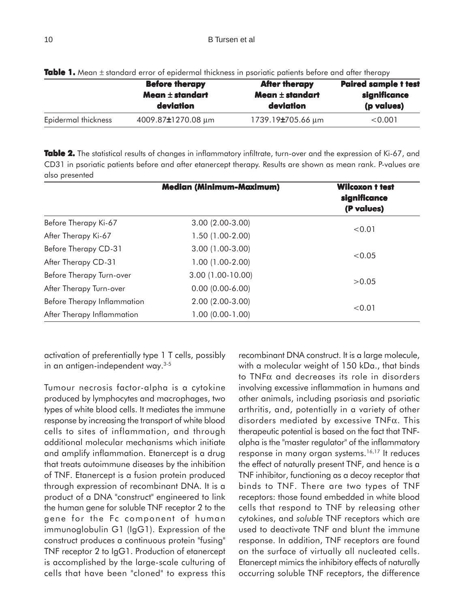|                     | <b>Before therapy</b><br>Mean $\pm$ standart | <b>After therapy</b><br>Mean $\pm$ standart | <b>Paired sample t test</b><br>significance<br>(p values) |
|---------------------|----------------------------------------------|---------------------------------------------|-----------------------------------------------------------|
|                     |                                              |                                             |                                                           |
|                     | deviation                                    | deviation                                   |                                                           |
| Epidermal thickness | 4009.87±1270.08 µm                           | 1739.19 <del>±</del> 705.66 μm              | < 0.001                                                   |

**Table 1.** Mean  $\pm$  standard error of epidermal thickness in psoriatic patients before and after therapy

Table 2. The statistical results of changes in inflammatory infiltrate, turn-over and the expression of Ki-67, and CD31 in psoriatic patients before and after etanercept therapy. Results are shown as mean rank. P-values are also presented

|                                                  | <b>Median (Minimum-Maximum)</b> | <b>Wilcoxon t test</b><br>significance<br>(P values) |  |
|--------------------------------------------------|---------------------------------|------------------------------------------------------|--|
| Before Therapy Ki-67                             | $3.00(2.00-3.00)$               | < 0.01                                               |  |
| After Therapy Ki-67                              | $1.50(1.00-2.00)$               |                                                      |  |
| Before Therapy CD-31                             | $3.00(1.00-3.00)$               | < 0.05                                               |  |
| After Therapy CD-31                              | $1.00(1.00-2.00)$               |                                                      |  |
| Before Therapy Turn-over                         | 3.00 (1.00-10.00)               | >0.05                                                |  |
| After Therapy Turn-over                          | $0.00$ $(0.00-6.00)$            |                                                      |  |
| $2.00(2.00-3.00)$<br>Before Therapy Inflammation |                                 | < 0.01                                               |  |
| After Therapy Inflammation                       | $1.00 (0.00 - 1.00)$            |                                                      |  |

activation of preferentially type 1 T cells, possibly in an antigen-independent way.3-5

**(c)** Tumour necrosis factor-alpha is a cytokine produced by lymphocytes and macrophages, two types of white blood cells. It mediates the immune response by increasing the transport of white blood cells to sites of inflammation, and through additional molecular mechanisms which initiate and amplify inflammation. Etanercept is a drug that treats autoimmune diseases by the inhibition of TNF. Etanercept is a fusion protein produced through expression of recombinant DNA. It is a product of a DNA "construct" engineered to link the human gene for soluble TNF receptor 2 to the gene for the Fc component of human immunoglobulin G1 (IgG1). Expression of the construct produces a continuous protein "fusing" TNF receptor 2 to IgG1. Production of etanercept is accomplished by the large-scale culturing of cells that have been "cloned" to express this

recombinant DNA construct. It is a large molecule, with a molecular weight of 150 kDa., that binds to TNFα and decreases its role in disorders involving excessive inflammation in humans and other animals, including psoriasis and psoriatic arthritis, and, potentially in a variety of other disorders mediated by excessive TNFα. This therapeutic potential is based on the fact that TNFalpha is the "master regulator" of the inflammatory response in many organ systems.16,17 It reduces the effect of naturally present TNF, and hence is a TNF inhibitor, functioning as a decoy receptor that binds to TNF. There are two types of TNF receptors: those found embedded in white blood cells that respond to TNF by releasing other cytokines, and *soluble* TNF receptors which are used to deactivate TNF and blunt the immune response. In addition, TNF receptors are found on the surface of virtually all nucleated cells. Etanercept mimics the inhibitory effects of naturally occurring soluble TNF receptors, the difference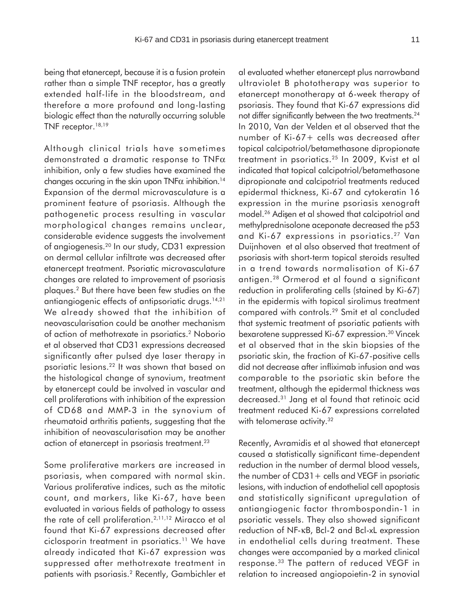being that etanercept, because it is a fusion protein rather than a simple TNF receptor, has a greatly extended half-life in the bloodstream, and therefore a more profound and long-lasting biologic effect than the naturally occurring soluble TNF receptor.<sup>18,19</sup>

Although clinical trials have sometimes demonstrated a dramatic response to TNFα inhibition, only a few studies have examined the changes occuring in the skin upon  $TNF\alpha$  inhibition.<sup>14</sup> Expansion of the dermal microvasculature is a prominent feature of psoriasis. Although the pathogenetic process resulting in vascular morphological changes remains unclear, considerable evidence suggests the involvement of angiogenesis.20 In our study, CD31 expression on dermal cellular infiltrate was decreased after etanercept treatment. Psoriatic microvasculature changes are related to improvement of psoriasis plaques.2 But there have been few studies on the antiangiogenic effects of antipsoriatic drugs.<sup>14,21</sup> We already showed that the inhibition of neovascularisation could be another mechanism of action of methotrexate in psoriatics.2 Noborio et al observed that CD31 expressions decreased significantly after pulsed dye laser therapy in psoriatic lesions.22 It was shown that based on the histological change of synovium, treatment by etanercept could be involved in vascular and cell proliferations with inhibition of the expression of CD68 and MMP-3 in the synovium of rheumatoid arthritis patients, suggesting that the inhibition of neovascularisation may be another action of etanercept in psoriasis treatment.<sup>23</sup>

Some proliferative markers are increased in psoriasis, when compared with normal skin. Various proliferative indices, such as the mitotic count, and markers, like Ki-67, have been evaluated in various fields of pathology to assess the rate of cell proliferation.2,11,12 Miracco et al found that Ki-67 expressions decreased after ciclosporin treatment in psoriatics.<sup>11</sup> We have already indicated that Ki-67 expression was suppressed after methotrexate treatment in patients with psoriasis.2 Recently, Gambichler et

al evaluated whether etanercept plus narrowband ultraviolet B phototherapy was superior to etanercept monotherapy at 6-week therapy of psoriasis. They found that Ki-67 expressions did not differ significantly between the two treatments.<sup>24</sup> In 2010, Van der Velden et al observed that the number of Ki-67+ cells was decreased after topical calcipotriol/betamethasone dipropionate treatment in psoriatics.25 In 2009, Kvist et al indicated that topical calcipotriol/betamethasone dipropionate and calcipotriol treatments reduced epidermal thickness, Ki-67 and cytokeratin 16 expression in the murine psoriasis xenograft model.<sup>26</sup> Adisen et al showed that calcipotriol and methylprednisolone aceponate decreased the p53 and Ki-67 expressions in psoriatics.<sup>27</sup> Van Duijnhoven et al also observed that treatment of psoriasis with short-term topical steroids resulted in a trend towards normalisation of Ki-67 antigen.28 Ormerod et al found a significant reduction in proliferating cells (stained by Ki-67) in the epidermis with topical sirolimus treatment compared with controls.29 Smit et al concluded that systemic treatment of psoriatic patients with bexarotene suppressed Ki-67 expression.30 Vincek et al observed that in the skin biopsies of the psoriatic skin, the fraction of Ki-67-positive cells did not decrease after infliximab infusion and was comparable to the psoriatic skin before the treatment, although the epidermal thickness was decreased.31 Jang et al found that retinoic acid treatment reduced Ki-67 expressions correlated with telomerase activity.<sup>32</sup>

Recently, Avramidis et al showed that etanercept caused a statistically significant time-dependent reduction in the number of dermal blood vessels, the number of  $CD31+$  cells and VEGF in psoriatic lesions, with induction of endothelial cell apoptosis and statistically significant upregulation of antiangiogenic factor thrombospondin-1 in psoriatic vessels. They also showed significant reduction of NF-κB, Bcl-2 and Bcl-xL expression in endothelial cells during treatment. These changes were accompanied by a marked clinical response.33 The pattern of reduced VEGF in relation to increased angiopoietin-2 in synovial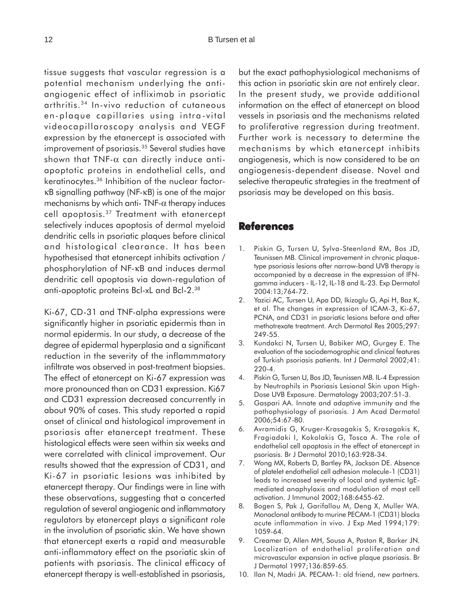tissue suggests that vascular regression is a potential mechanism underlying the antiangiogenic effect of infliximab in psoriatic arthritis.34 In-vivo reduction of cutaneous en-plaque capillaries using intra-vital videocapillaroscopy analysis and VEGF expression by the etanercept is associated with improvement of psoriasis.35 Several studies have shown that TNF- $\alpha$  can directly induce antiapoptotic proteins in endothelial cells, and keratinocytes.36 Inhibition of the nuclear factorκB signalling pathway (NF-κB) is one of the major mechanisms by which anti-  $TNF-\alpha$  therapy induces cell apoptosis.37 Treatment with etanercept selectively induces apoptosis of dermal myeloid dendritic cells in psoriatic plaques before clinical and histological clearance. It has been hypothesised that etanercept inhibits activation / phosphorylation of NF-κB and induces dermal dendritic cell apoptosis via down-regulation of anti-apoptotic proteins Bcl-xL and Bcl-2.38

Ki-67, CD-31 and TNF-alpha expressions were significantly higher in psoriatic epidermis than in normal epidermis. In our study, a decrease of the degree of epidermal hyperplasia and a significant reduction in the severity of the inflammmatory infiltrate was observed in post-treatment biopsies. The effect of etanercept on Ki-67 expression was more pronounced than on CD31 expression. Ki67 and CD31 expression decreased concurrently in about 90% of cases. This study reported a rapid onset of clinical and histological improvement in psoriasis after etanercept treatment. These histological effects were seen within six weeks and were correlated with clinical improvement. Our results showed that the expression of CD31, and Ki-67 in psoriatic lesions was inhibited by etanercept therapy. Our findings were in line with these observations, suggesting that a concerted regulation of several angiogenic and inflammatory regulators by etanercept plays a significant role in the involution of psoriatic skin. We have shown that etanercept exerts a rapid and measurable anti-inflammatory effect on the psoriatic skin of patients with psoriasis. The clinical efficacy of etanercept therapy is well-established in psoriasis,

but the exact pathophysiological mechanisms of this action in psoriatic skin are not entirely clear. In the present study, we provide additional information on the effect of etanercept on blood vessels in psoriasis and the mechanisms related to proliferative regression during treatment. Further work is necessary to determine the mechanisms by which etanercept inhibits angiogenesis, which is now considered to be an angiogenesis-dependent disease. Novel and selective therapeutic strategies in the treatment of psoriasis may be developed on this basis.

# **References**

- 1. Piskin G, Tursen U, Sylva-Steenland RM, Bos JD, Teunissen MB. Clinical improvement in chronic plaquetype psoriasis lesions after narrow-band UVB therapy is accompanied by a decrease in the expression of IFNgamma inducers - IL-12, IL-18 and IL-23. Exp Dermatol 2004:13;764-72.
- 2. Yazici AC, Tursen U, Apa DD, Ikizoglu G, Api H, Baz K, et al. The changes in expression of ICAM-3, Ki-67, PCNA, and CD31 in psoriatic lesions before and after methotrexate treatment. Arch Dermatol Res 2005;297: 249-55.
- 3. Kundakci N, Tursen U, Babiker MO, Gurgey E. The evaluation of the sociodemographic and clinical features of Turkish psoriasis patients. Int J Dermatol 2002;41: 220-4.
- 4. Piskin G, Tursen U, Bos JD, Teunissen MB. IL-4 Expression by Neutrophils in Psoriasis Lesional Skin upon High-Dose UVB Exposure. Dermatology 2003;207:51-3.
- 5. Gaspari AA. Innate and adaptive immunity and the pathophysiology of psoriasis. J Am Acad Dermatol 2006;54:67-80.
- 6. Avramidis G, Kruger-Krasagakis S, Krasagakis K, Fragiadaki I, Kokolakis G, Tosca A. The role of endothelial cell apoptosis in the effect of etanercept in psoriasis. Br J Dermatol 2010;163:928-34.
- 7. Wong MX, Roberts D, Bartley PA, Jackson DE. Absence of platelet endothelial cell adhesion molecule-1 (CD31) leads to increased severity of local and systemic IgEmediated anaphylaxis and modulation of mast cell activation. J Immunol 2002;168:6455-62.
- 8. Bogen S, Pak J, Garifallou M, Deng X, Muller WA. Monoclonal antibody to murine PECAM-1 (CD31) blocks acute inflammation in vivo. J Exp Med 1994;179: 1059-64.
- 9. Creamer D, Allen MH, Sousa A, Poston R, Barker JN. Localization of endothelial proliferation and microvascular expansion in active plaque psoriasis. Br J Dermatol 1997;136:859-65.
- 10. Ilan N, Madri JA. PECAM-1: old friend, new partners.